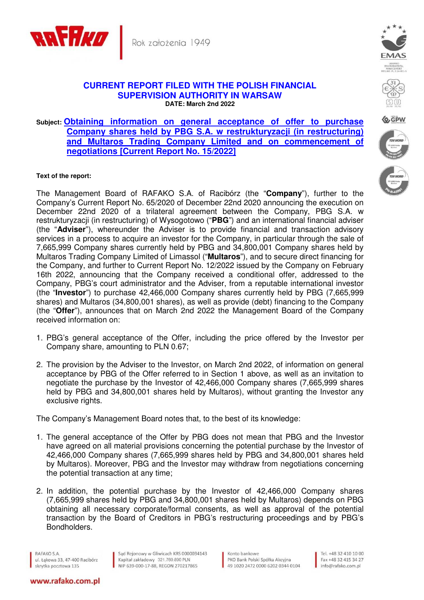

## **CURRENT REPORT FILED WITH THE POLISH FINANCIAL SUPERVISION AUTHORITY IN WARSAW DATE: March 2nd 2022**

## **Subject: Obtaining information on general acceptance of offer to purchase Company shares held by PBG S.A. w restrukturyzacji (in restructuring) and Multaros Trading Company Limited and on commencement of negotiations [Current Report No. 15/2022]**

## **Text of the report:**

The Management Board of RAFAKO S.A. of Racibórz (the "**Company**"), further to the Company's Current Report No. 65/2020 of December 22nd 2020 announcing the execution on December 22nd 2020 of a trilateral agreement between the Company, PBG S.A. w restrukturyzacji (in restructuring) of Wysogotowo ("**PBG**") and an international financial adviser (the "**Adviser**"), whereunder the Adviser is to provide financial and transaction advisory services in a process to acquire an investor for the Company, in particular through the sale of 7,665,999 Company shares currently held by PBG and 34,800,001 Company shares held by Multaros Trading Company Limited of Limassol ("**Multaros**"), and to secure direct financing for the Company, and further to Current Report No. 12/2022 issued by the Company on February 16th 2022, announcing that the Company received a conditional offer, addressed to the Company, PBG's court administrator and the Adviser, from a reputable international investor (the "**Investor**") to purchase 42,466,000 Company shares currently held by PBG (7,665,999 shares) and Multaros (34,800,001 shares), as well as provide (debt) financing to the Company (the "**Offer**"), announces that on March 2nd 2022 the Management Board of the Company received information on:

- 1. PBG's general acceptance of the Offer, including the price offered by the Investor per Company share, amounting to PLN 0.67;
- 2. The provision by the Adviser to the Investor, on March 2nd 2022, of information on general acceptance by PBG of the Offer referred to in Section 1 above, as well as an invitation to negotiate the purchase by the Investor of 42,466,000 Company shares (7,665,999 shares held by PBG and 34,800,001 shares held by Multaros), without granting the Investor any exclusive rights.

The Company's Management Board notes that, to the best of its knowledge:

- 1. The general acceptance of the Offer by PBG does not mean that PBG and the Investor have agreed on all material provisions concerning the potential purchase by the Investor of 42,466,000 Company shares (7,665,999 shares held by PBG and 34,800,001 shares held by Multaros). Moreover, PBG and the Investor may withdraw from negotiations concerning the potential transaction at any time;
- 2. In addition, the potential purchase by the Investor of 42,466,000 Company shares (7,665,999 shares held by PBG and 34,800,001 shares held by Multaros) depends on PBG obtaining all necessary corporate/formal consents, as well as approval of the potential transaction by the Board of Creditors in PBG's restructuring proceedings and by PBG's Bondholders.

RAFAKO S.A. ul. Łąkowa 33, 47-400 Racibórz skrytka pocztowa 135

Sąd Rejonowy w Gliwicach KRS 0000034143 Sąd Rejonowy w Gliwicach KRS 0000034<br>Kapitał zakładowy 321.760.890 PLN<br>NIP 639-000-17-88, REGON 270217865

Konto bankowe PKO Bank Polski Spółka Akcyjna 49 1020 2472 0000 6202 0344 0104